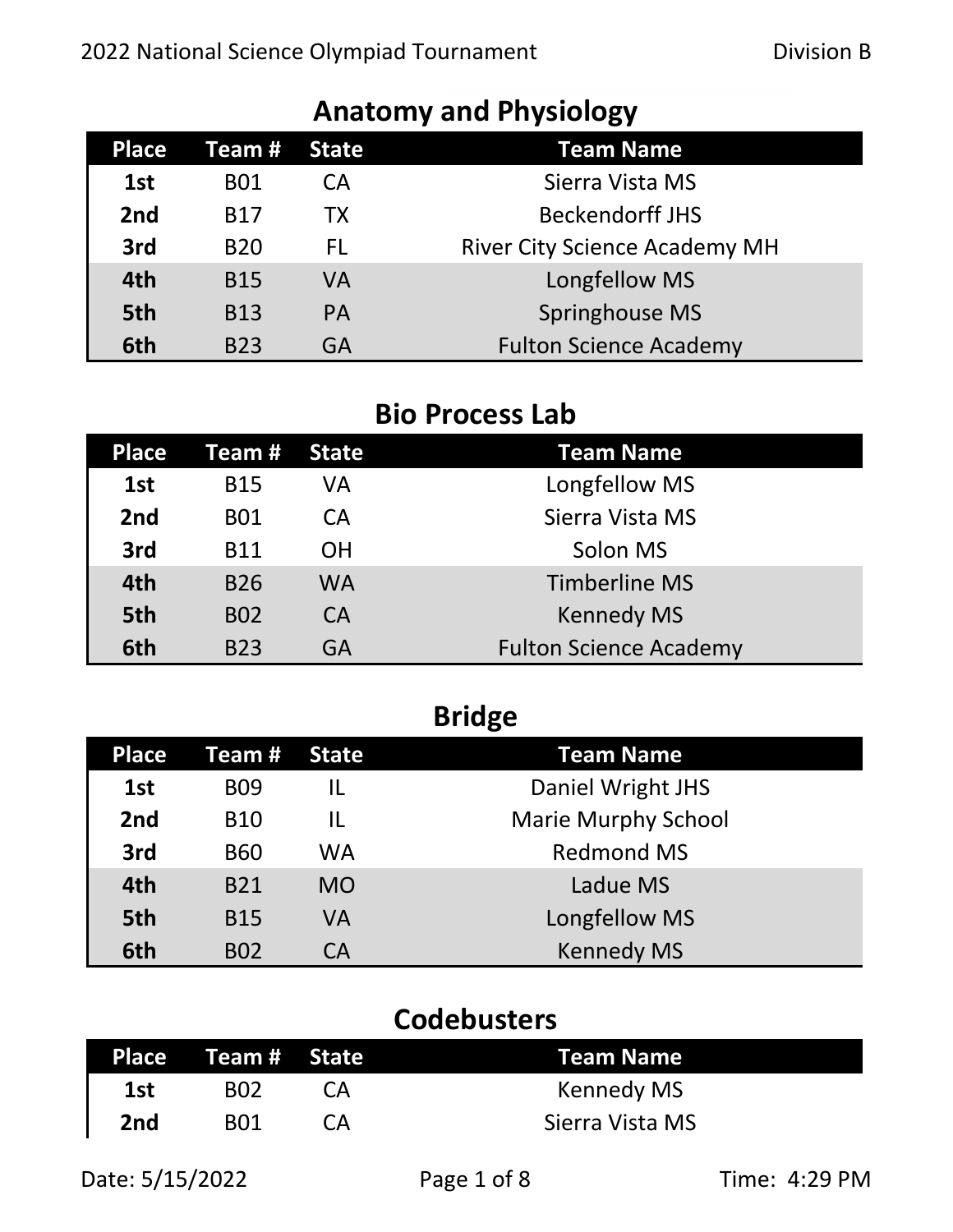| <b>Place</b>    | Team #     | <b>State</b> | <b>Team Name</b>                     |
|-----------------|------------|--------------|--------------------------------------|
| 1st             | <b>B01</b> | СA           | Sierra Vista MS                      |
| 2 <sub>nd</sub> | <b>B17</b> | <b>TX</b>    | <b>Beckendorff JHS</b>               |
| 3rd             | <b>B20</b> | FL.          | <b>River City Science Academy MH</b> |
| 4th             | <b>B15</b> | VA           | Longfellow MS                        |
| 5th             | <b>B13</b> | <b>PA</b>    | Springhouse MS                       |
| 6th             | <b>B23</b> | GA           | <b>Fulton Science Academy</b>        |

# **Anatomy and Physiology**

## **Bio Process Lab**

| <b>Place</b>    | Team #     | State     | <b>Team Name</b>              |
|-----------------|------------|-----------|-------------------------------|
| 1st             | <b>B15</b> | VA        | Longfellow MS                 |
| 2 <sub>nd</sub> | <b>B01</b> | CA        | Sierra Vista MS               |
| 3rd             | <b>B11</b> | <b>OH</b> | Solon MS                      |
| 4th             | <b>B26</b> | WA        | <b>Timberline MS</b>          |
| 5th             | <b>BO2</b> | <b>CA</b> | <b>Kennedy MS</b>             |
| 6th             | <b>B23</b> | GA        | <b>Fulton Science Academy</b> |

# **Bridge**

| Place | Team #     | State     | <b>Team Name</b>           |
|-------|------------|-----------|----------------------------|
| 1st   | <b>BO9</b> | IL        | Daniel Wright JHS          |
| 2nd   | <b>B10</b> | IL        | <b>Marie Murphy School</b> |
| 3rd   | <b>B60</b> | <b>WA</b> | <b>Redmond MS</b>          |
| 4th   | <b>B21</b> | <b>MO</b> | Ladue MS                   |
| 5th   | <b>B15</b> | VA        | Longfellow MS              |
| 6th   | <b>B02</b> | СA        | <b>Kennedy MS</b>          |

## **Codebusters**

|     | Place Team# State |                   | <b>Team Name</b> |
|-----|-------------------|-------------------|------------------|
| 1st | <b>BO2</b>        | CA <sup>(1)</sup> | Kennedy MS       |
| 2nd | <b>B01</b>        | CА                | Sierra Vista MS  |

Date: 5/15/2022 Page 1 of 8 Time: 4:29 PM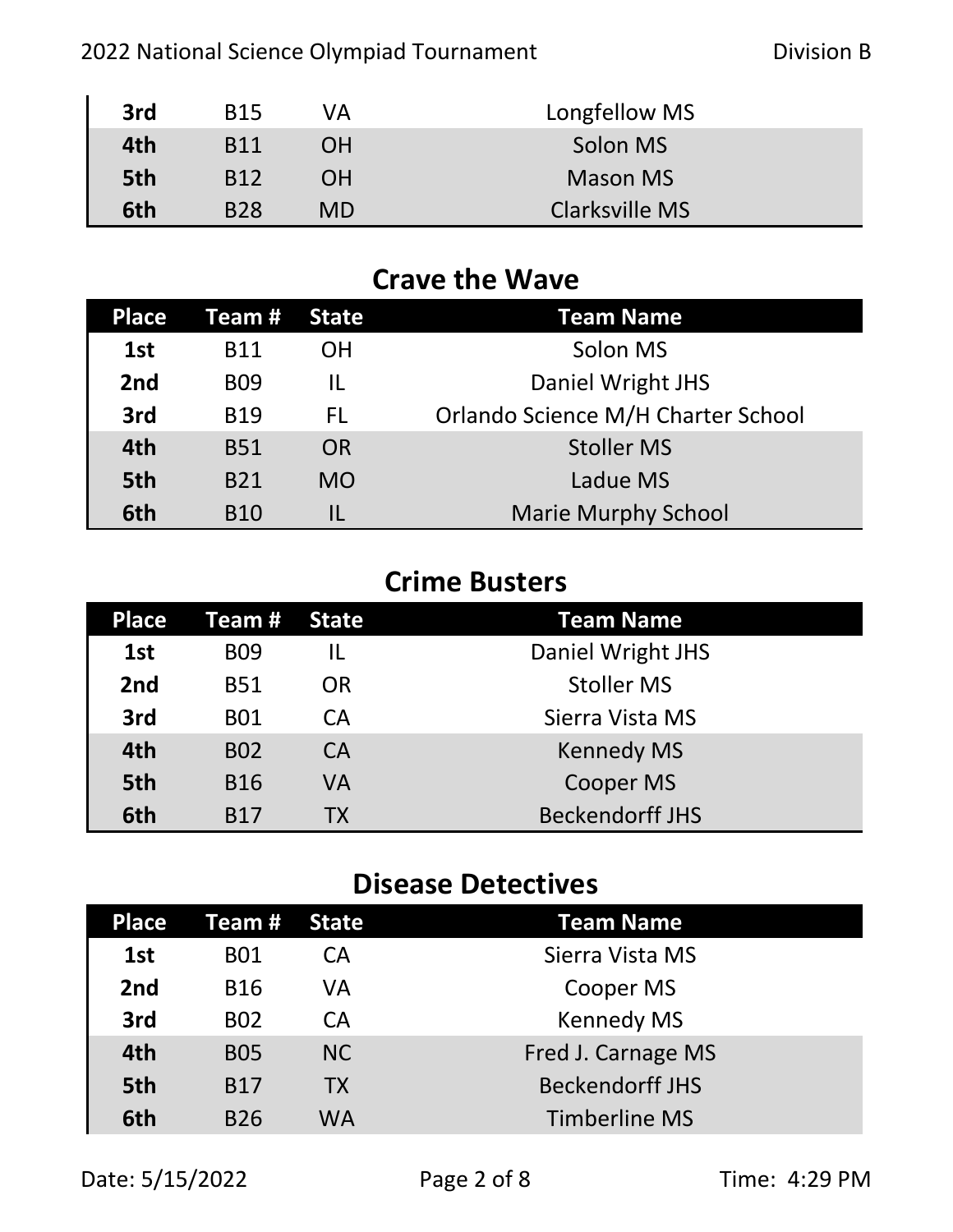| 3rd | <b>B15</b> | VA        | Longfellow MS   |
|-----|------------|-----------|-----------------|
| 4th | <b>B11</b> | OΗ        | Solon MS        |
| 5th | <b>B12</b> | <b>OH</b> | <b>Mason MS</b> |
| 6th | <b>B28</b> | <b>MD</b> | Clarksville MS  |

## **Crave the Wave**

| <b>Place</b>    | Team #     | <b>State</b> | <b>Team Name</b>                   |
|-----------------|------------|--------------|------------------------------------|
| 1st             | <b>B11</b> | OΗ           | Solon MS                           |
| 2 <sub>nd</sub> | <b>BO9</b> | IL           | Daniel Wright JHS                  |
| 3rd             | <b>B19</b> | FL.          | Orlando Science M/H Charter School |
| 4th             | <b>B51</b> | <b>OR</b>    | <b>Stoller MS</b>                  |
| 5th             | <b>B21</b> | <b>MO</b>    | Ladue MS                           |
| 6th             | <b>B10</b> |              | <b>Marie Murphy School</b>         |

## **Crime Busters**

| Place | Team #     | <b>State</b> | <b>Team Name</b>       |
|-------|------------|--------------|------------------------|
| 1st   | <b>BO9</b> |              | Daniel Wright JHS      |
| 2nd   | <b>B51</b> | OR.          | <b>Stoller MS</b>      |
| 3rd   | <b>B01</b> | CA           | Sierra Vista MS        |
| 4th   | <b>BO2</b> | <b>CA</b>    | <b>Kennedy MS</b>      |
| 5th   | <b>B16</b> | VA           | Cooper MS              |
| 6th   | <b>B17</b> | <b>TX</b>    | <b>Beckendorff JHS</b> |

## **Disease Detectives**

| <b>Place</b> | <b>Team # State</b> |           | <b>Team Name</b>       |
|--------------|---------------------|-----------|------------------------|
| 1st          | <b>B01</b>          | СA        | Sierra Vista MS        |
| 2nd          | <b>B16</b>          | VA        | Cooper MS              |
| 3rd          | <b>BO2</b>          | CA        | <b>Kennedy MS</b>      |
| 4th          | <b>BO5</b>          | NC.       | Fred J. Carnage MS     |
| 5th          | <b>B17</b>          | <b>TX</b> | <b>Beckendorff JHS</b> |
| 6th          | <b>B26</b>          | WA        | <b>Timberline MS</b>   |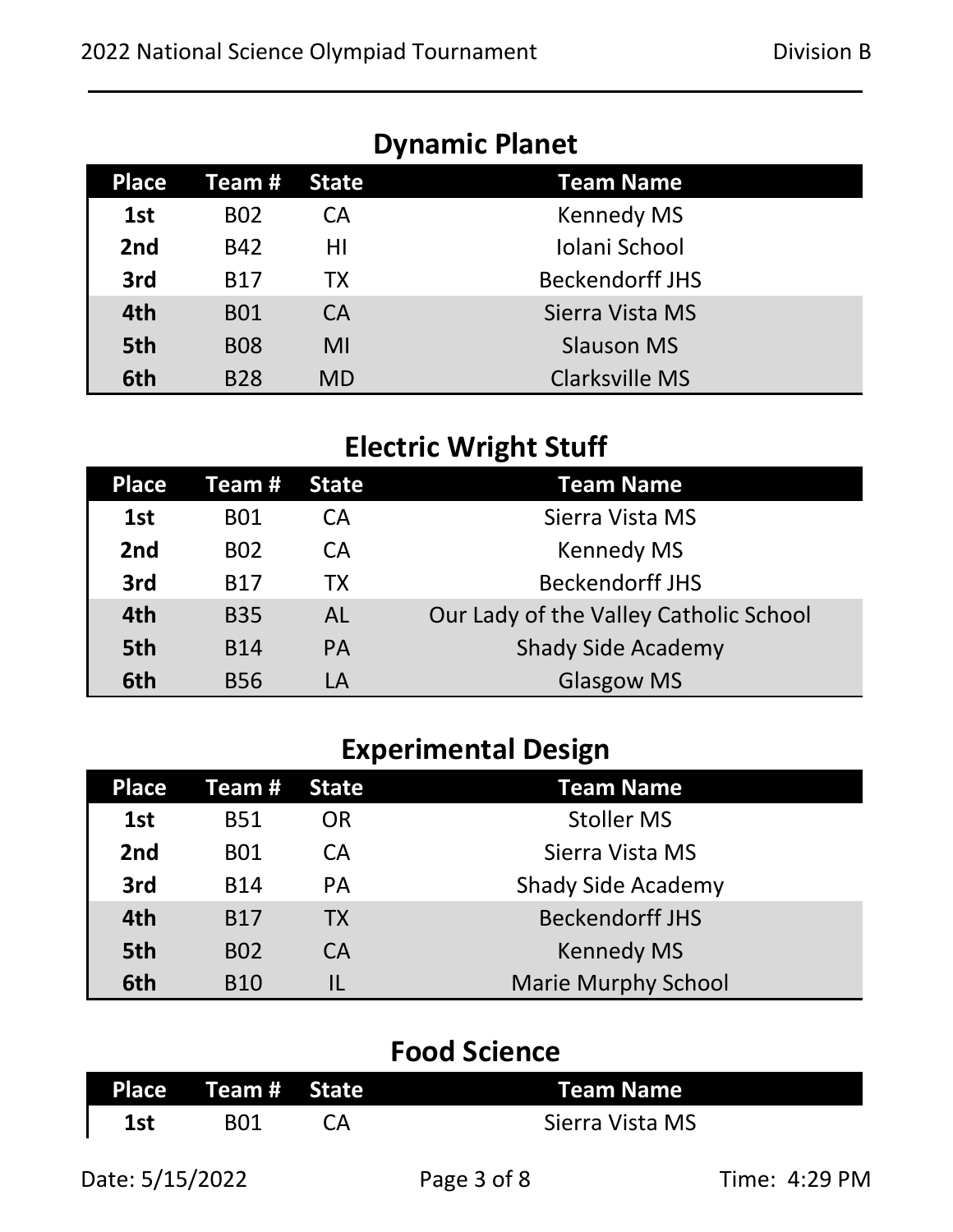|              |            |           | <b>DYNANILY LIGHEL</b> |
|--------------|------------|-----------|------------------------|
| <b>Place</b> | Team #     | State     | <b>Team Name</b>       |
| 1st          | <b>BO2</b> | CА        | <b>Kennedy MS</b>      |
| 2nd          | <b>B42</b> | ΗI        | Iolani School          |
| 3rd          | <b>B17</b> | <b>TX</b> | <b>Beckendorff JHS</b> |
| 4th          | <b>B01</b> | <b>CA</b> | Sierra Vista MS        |
| 5th          | <b>B08</b> | MI        | <b>Slauson MS</b>      |
| 6th          | <b>B28</b> | <b>MD</b> | <b>Clarksville MS</b>  |

#### **Dynamic Planet**

## **Electric Wright Stuff**

| Place           | Team #     | <b>State</b> | <b>Team Name</b>                       |
|-----------------|------------|--------------|----------------------------------------|
| 1st             | <b>B01</b> | CА           | Sierra Vista MS                        |
| 2 <sub>nd</sub> | <b>BO2</b> | CA           | <b>Kennedy MS</b>                      |
| 3rd             | <b>B17</b> | <b>TX</b>    | <b>Beckendorff JHS</b>                 |
| 4th             | <b>B35</b> | <b>AL</b>    | Our Lady of the Valley Catholic School |
| 5th             | <b>B14</b> | <b>PA</b>    | <b>Shady Side Academy</b>              |
| 6th             | <b>B56</b> | LA           | <b>Glasgow MS</b>                      |

# **Experimental Design**

| Place | Team #     | <b>State</b> | <b>Team Name</b>           |
|-------|------------|--------------|----------------------------|
| 1st   | <b>B51</b> | OR           | <b>Stoller MS</b>          |
| 2nd   | <b>B01</b> | CA           | Sierra Vista MS            |
| 3rd   | <b>B14</b> | <b>PA</b>    | <b>Shady Side Academy</b>  |
| 4th   | <b>B17</b> | <b>TX</b>    | <b>Beckendorff JHS</b>     |
| 5th   | <b>B02</b> | <b>CA</b>    | <b>Kennedy MS</b>          |
| 6th   | <b>B10</b> |              | <b>Marie Murphy School</b> |

## **Food Science**

|     | Place Team# State | <b>Team Name</b> |
|-----|-------------------|------------------|
| 1st |                   | Sierra Vista MS  |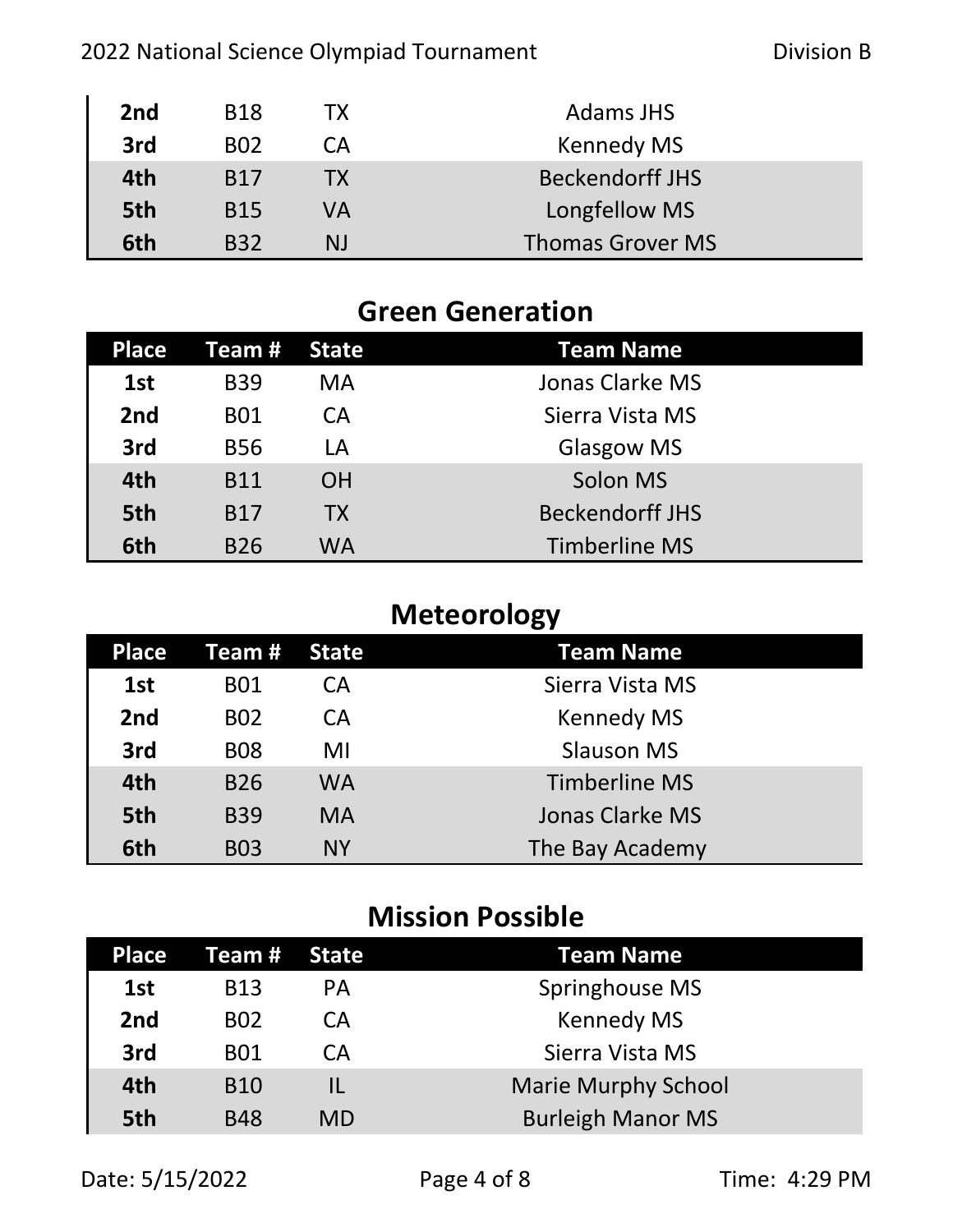#### 2022 National Science Olympiad Tournament **Division B**

| 2nd | <b>B18</b> | TХ | <b>Adams JHS</b>        |
|-----|------------|----|-------------------------|
| 3rd | <b>B02</b> | CА | <b>Kennedy MS</b>       |
| 4th | <b>B17</b> | ТX | <b>Beckendorff JHS</b>  |
| 5th | <b>B15</b> | VA | Longfellow MS           |
| 6th | <b>B32</b> | NJ | <b>Thomas Grover MS</b> |

#### **Green Generation**

| Place | Team #     | State     | <b>Team Name</b>       |
|-------|------------|-----------|------------------------|
| 1st   | <b>B39</b> | MA        | Jonas Clarke MS        |
| 2nd   | <b>B01</b> | CA        | Sierra Vista MS        |
| 3rd   | <b>B56</b> | LA        | <b>Glasgow MS</b>      |
| 4th   | <b>B11</b> | <b>OH</b> | Solon MS               |
| 5th   | <b>B17</b> | <b>TX</b> | <b>Beckendorff JHS</b> |
| 6th   | <b>B26</b> | WA        | <b>Timberline MS</b>   |

# **Meteorology**

| <b>Place</b> | Team #     | State     | <b>Team Name</b>     |
|--------------|------------|-----------|----------------------|
| 1st          | <b>B01</b> | CA        | Sierra Vista MS      |
| 2nd          | <b>B02</b> | <b>CA</b> | <b>Kennedy MS</b>    |
| 3rd          | <b>B08</b> | MI        | <b>Slauson MS</b>    |
| 4th          | <b>B26</b> | WA        | <b>Timberline MS</b> |
| 5th          | <b>B39</b> | <b>MA</b> | Jonas Clarke MS      |
| 6th          | <b>B03</b> | <b>NY</b> | The Bay Academy      |

## **Mission Possible**

| <b>Place</b>    | Team # .   | <b>State</b> | Team Name                  |
|-----------------|------------|--------------|----------------------------|
| 1st             | <b>B13</b> | <b>PA</b>    | Springhouse MS             |
| 2 <sub>nd</sub> | <b>BO2</b> | CA           | <b>Kennedy MS</b>          |
| 3rd             | <b>B01</b> | CA           | Sierra Vista MS            |
| 4th             | <b>B10</b> | IL           | <b>Marie Murphy School</b> |
| 5th             | <b>B48</b> | MD           | <b>Burleigh Manor MS</b>   |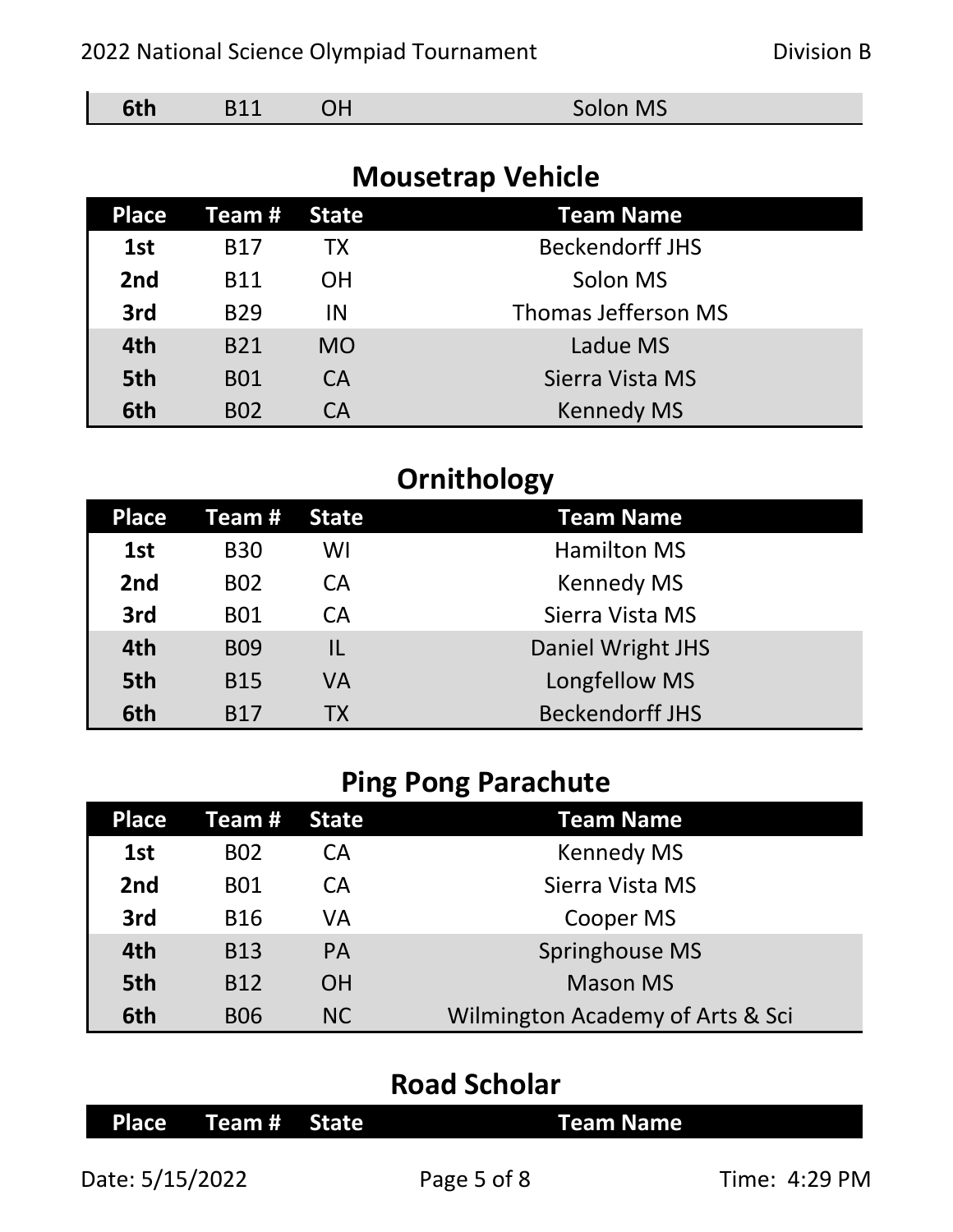| Date: 5/15/2022 | Page 5 of 8 | Time: 4:29 PM |
|-----------------|-------------|---------------|

**Road Scholar**

**Place Team # State Team Name**

| Ping Pong Parachute |            |              |                                  |  |
|---------------------|------------|--------------|----------------------------------|--|
| <b>Place</b>        | Team #     | <b>State</b> | <b>Team Name</b>                 |  |
| 1st                 | <b>BO2</b> | <b>CA</b>    | <b>Kennedy MS</b>                |  |
| 2 <sub>nd</sub>     | <b>B01</b> | <b>CA</b>    | Sierra Vista MS                  |  |
| 3rd                 | <b>B16</b> | VA           | Cooper MS                        |  |
| 4th                 | <b>B13</b> | <b>PA</b>    | Springhouse MS                   |  |
| 5th                 | <b>B12</b> | <b>OH</b>    | <b>Mason MS</b>                  |  |
| 6th                 | <b>BO6</b> | <b>NC</b>    | Wilmington Academy of Arts & Sci |  |
|                     |            |              |                                  |  |

# **Ping Pong Parachute**

|              |            |              | Ornithology            |
|--------------|------------|--------------|------------------------|
| <b>Place</b> | Team#      | <b>State</b> | <b>Team Name</b>       |
| 1st          | <b>B30</b> | WI           | <b>Hamilton MS</b>     |
| 2nd          | <b>BO2</b> | CA           | <b>Kennedy MS</b>      |
| 3rd          | <b>B01</b> | <b>CA</b>    | Sierra Vista MS        |
| 4th          | <b>BO9</b> | IL           | Daniel Wright JHS      |
| 5th          | <b>B15</b> | <b>VA</b>    | Longfellow MS          |
| 6th          | <b>B17</b> | ТX           | <b>Beckendorff JHS</b> |

| <b>Mousetrap Vehicle</b> |            |              |                        |  |
|--------------------------|------------|--------------|------------------------|--|
| <b>Place</b>             | Team #     | <b>State</b> | <b>Team Name</b>       |  |
| 1st                      | <b>B17</b> | <b>TX</b>    | <b>Beckendorff JHS</b> |  |
| 2nd                      | <b>B11</b> | <b>OH</b>    | Solon MS               |  |
| 3rd                      | <b>B29</b> | IN           | Thomas Jefferson MS    |  |
| 4th                      | <b>B21</b> | <b>MO</b>    | Ladue MS               |  |
| 5th                      | <b>B01</b> | CA           | Sierra Vista MS        |  |
| 6th                      | <b>BO2</b> | CA           | <b>Kennedy MS</b>      |  |

**6th** B11 OH Solon MS

#### 2022 National Science Olympiad Tournament **Division B**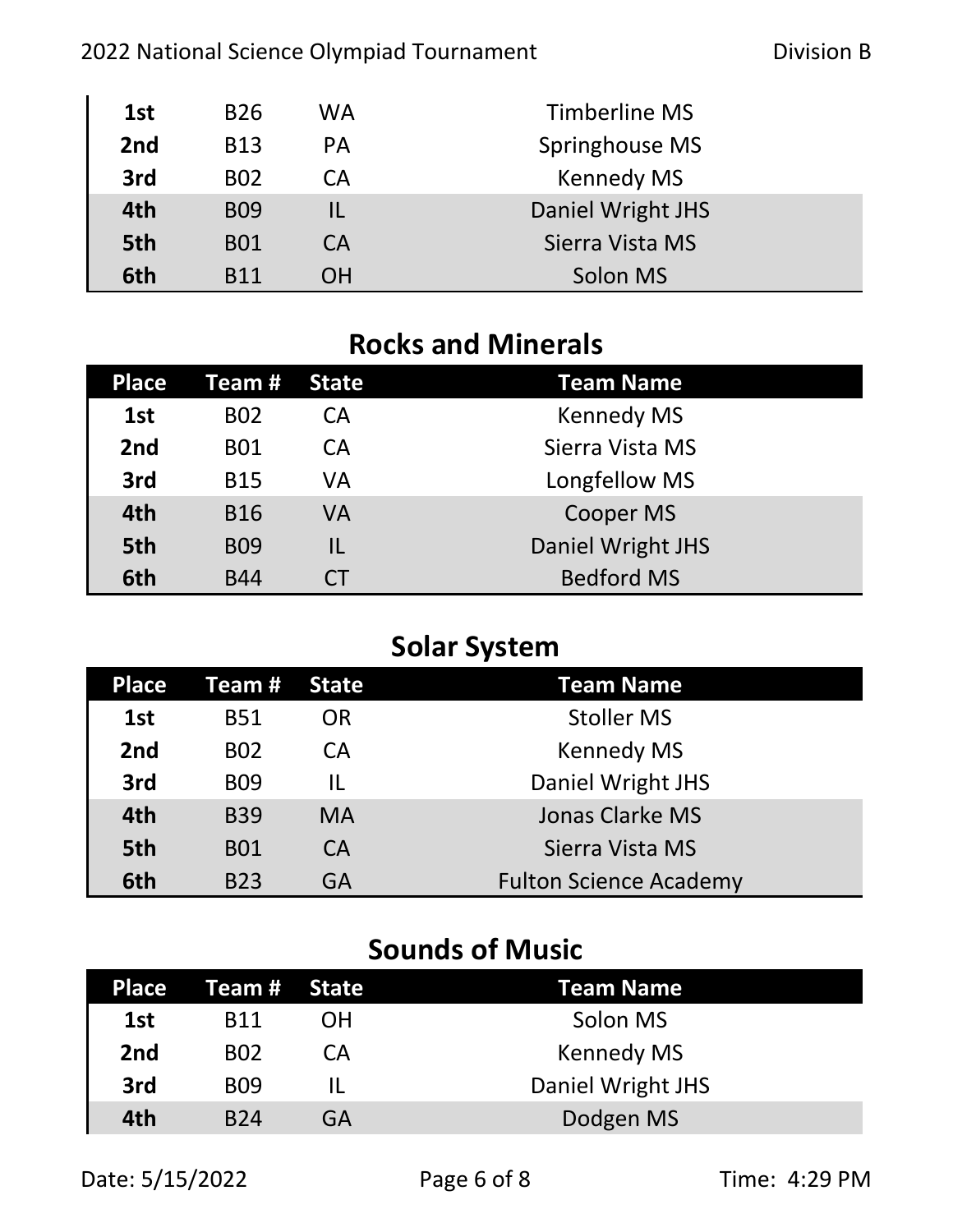#### 2022 National Science Olympiad Tournament **Division B**

| 1st | <b>B26</b>      | WA        | Timberline MS     |
|-----|-----------------|-----------|-------------------|
| 2nd | <b>B13</b>      | <b>PA</b> | Springhouse MS    |
| 3rd | <b>B02</b>      | CА        | <b>Kennedy MS</b> |
| 4th | <b>BO9</b>      | IL        | Daniel Wright JHS |
| 5th | <b>B01</b>      | CA        | Sierra Vista MS   |
| 6th | R <sub>11</sub> | OΗ        | Solon MS          |

## **Rocks and Minerals**

| <b>Place</b> | Team #     | State | <b>Team Name</b>  |
|--------------|------------|-------|-------------------|
| 1st          | <b>BO2</b> | CA    | <b>Kennedy MS</b> |
| 2nd          | <b>B01</b> | CA    | Sierra Vista MS   |
| 3rd          | <b>B15</b> | VA    | Longfellow MS     |
| 4th          | <b>B16</b> | VA    | <b>Cooper MS</b>  |
| 5th          | <b>BO9</b> | IL    | Daniel Wright JHS |
| 6th          | <b>B44</b> | CΤ    | <b>Bedford MS</b> |

# **Solar System**

| <b>Place</b> | Team #     | <b>State</b> | <b>Team Name</b>              |
|--------------|------------|--------------|-------------------------------|
| 1st          | <b>B51</b> | OR           | <b>Stoller MS</b>             |
| 2nd          | <b>BO2</b> | <b>CA</b>    | <b>Kennedy MS</b>             |
| 3rd          | <b>BO9</b> | IL           | Daniel Wright JHS             |
| 4th          | <b>B39</b> | <b>MA</b>    | <b>Jonas Clarke MS</b>        |
| 5th          | <b>B01</b> | <b>CA</b>    | Sierra Vista MS               |
| 6th          | <b>B23</b> | GA           | <b>Fulton Science Academy</b> |

## **Sounds of Music**

| <b>Place</b>    | Team # State |    | Team Name         |
|-----------------|--------------|----|-------------------|
| 1st             | B11          | OΗ | Solon MS          |
| 2 <sub>nd</sub> | <b>B02</b>   | СA | <b>Kennedy MS</b> |
| 3rd             | <b>BO9</b>   |    | Daniel Wright JHS |
| 4th             | <b>B24</b>   | GA | Dodgen MS         |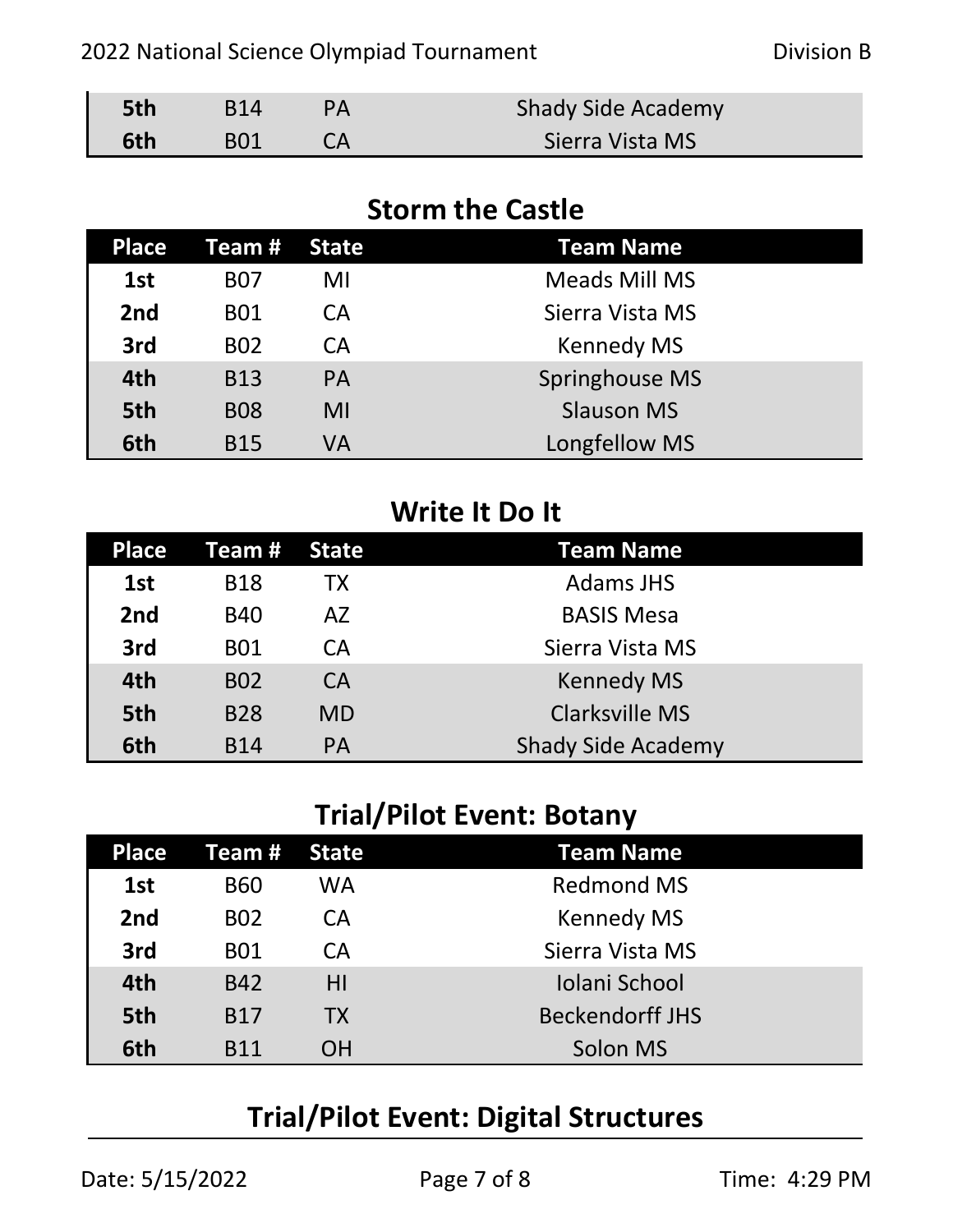| 5th | <b>B14</b> | <b>Shady Side Academy</b> |
|-----|------------|---------------------------|
| 6th | <b>B01</b> | Sierra Vista MS           |

#### **Storm the Castle**

| <b>Place</b>    | Team #     | <b>State</b> | <b>Team Name</b>     |
|-----------------|------------|--------------|----------------------|
| 1st             | <b>B07</b> | MI           | <b>Meads Mill MS</b> |
| 2 <sub>nd</sub> | <b>B01</b> | CA           | Sierra Vista MS      |
| 3rd             | <b>BO2</b> | CA           | <b>Kennedy MS</b>    |
| 4th             | <b>B13</b> | <b>PA</b>    | Springhouse MS       |
| 5th             | <b>B08</b> | MI           | <b>Slauson MS</b>    |
| 6th             | <b>B15</b> | VA           | Longfellow MS        |

#### **Write It Do It**

| <b>Place</b>    | Team #     | State     | <b>Team Name</b>          |
|-----------------|------------|-----------|---------------------------|
| 1st             | <b>B18</b> | <b>TX</b> | <b>Adams JHS</b>          |
| 2 <sub>nd</sub> | <b>B40</b> | AZ        | <b>BASIS Mesa</b>         |
| 3rd             | <b>B01</b> | <b>CA</b> | Sierra Vista MS           |
| 4th             | <b>B02</b> | <b>CA</b> | <b>Kennedy MS</b>         |
| 5th             | <b>B28</b> | <b>MD</b> | <b>Clarksville MS</b>     |
| 6th             | <b>B14</b> | <b>PA</b> | <b>Shady Side Academy</b> |

## **Trial/Pilot Event: Botany**

| <b>Place</b> | Team #     | State     | <b>Team Name</b>       |
|--------------|------------|-----------|------------------------|
| 1st          | <b>B60</b> | WA        | <b>Redmond MS</b>      |
| 2nd          | <b>BO2</b> | <b>CA</b> | <b>Kennedy MS</b>      |
| 3rd          | <b>B01</b> | <b>CA</b> | Sierra Vista MS        |
| 4th          | <b>B42</b> | HI        | Iolani School          |
| 5th          | <b>B17</b> | <b>TX</b> | <b>Beckendorff JHS</b> |
| 6th          | <b>R11</b> | OΗ        | Solon MS               |

# **Trial/Pilot Event: Digital Structures**